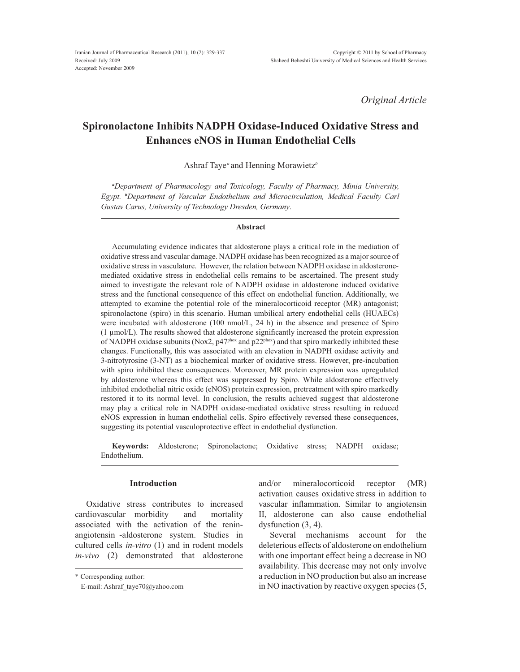*Original Article*

# **Spironolactone Inhibits NADPH Oxidase-Induced Oxidative Stress and Enhances eNOS in Human Endothelial Cells**

Ashraf Taye*<sup>a</sup>* and Henning Morawietz*<sup>b</sup>*

*a Department of Pharmacology and Toxicology, Faculty of Pharmacy, Minia University,*  Egypt. <sup>b</sup>Department of Vascular Endothelium and Microcirculation, Medical Faculty Carl *Gustav Carus, University of Technology Dresden, Germany*.

#### **Abstract**

Accumulating evidence indicates that aldosterone plays a critical role in the mediation of oxidative stress and vascular damage. NADPH oxidase has been recognized as a major source of oxidative stress in vasculature. However, the relation between NADPH oxidase in aldosteronemediated oxidative stress in endothelial cells remains to be ascertained. The present study aimed to investigate the relevant role of NADPH oxidase in aldosterone induced oxidative stress and the functional consequence of this effect on endothelial function. Additionally, we attempted to examine the potential role of the mineralocorticoid receptor (MR) antagonist; spironolactone (spiro) in this scenario. Human umbilical artery endothelial cells (HUAECs) were incubated with aldosterone (100 nmol/L, 24 h) in the absence and presence of Spiro  $(1 \mu\text{mol/L})$ . The results showed that aldosterone significantly increased the protein expression of NADPH oxidase subunits (Nox2,  $p47<sup>phox</sup>$  and  $p22<sup>phox</sup>$ ) and that spiro markedly inhibited these changes. Functionally, this was associated with an elevation in NADPH oxidase activity and 3-nitrotyrosine (3-NT) as a biochemical marker of oxidative stress. However, pre-incubation with spiro inhibited these consequences. Moreover, MR protein expression was upregulated by aldosterone whereas this effect was suppressed by Spiro. While aldosterone effectively inhibited endothelial nitric oxide (eNOS) protein expression, pretreatment with spiro markedly restored it to its normal level. In conclusion, the results achieved suggest that aldosterone may play a critical role in NADPH oxidase-mediated oxidative stress resulting in reduced eNOS expression in human endothelial cells. Spiro effectively reversed these consequences, suggesting its potential vasculoprotective effect in endothelial dysfunction.

**Keywords:** Aldosterone; Spironolactone; Oxidative stress; NADPH oxidase; Endothelium.

#### **Introduction**

Oxidative stress contributes to increased cardiovascular morbidity and mortality associated with the activation of the reninangiotensin -aldosterone system. Studies in cultured cells *in-vitro* (1) and in rodent models *in-vivo* (2) demonstrated that aldosterone and/or mineralocorticoid receptor (MR) activation causes oxidative stress in addition to vascular inflammation. Similar to angiotensin II, aldosterone can also cause endothelial dysfunction (3, 4).

Several mechanisms account for the deleterious effects of aldosterone on endothelium with one important effect being a decrease in NO availability. This decrease may not only involve a reduction in NO production but also an increase in NO inactivation by reactive oxygen species (5,

<sup>\*</sup> Corresponding author:

E-mail: Ashraf\_taye70@yahoo.com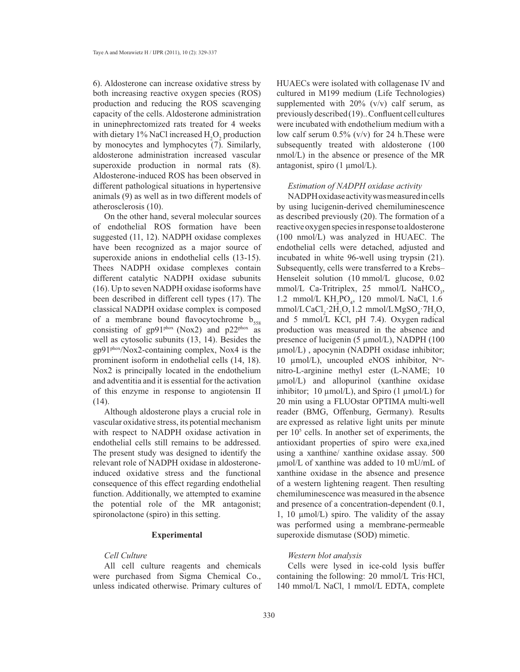6). Aldosterone can increase oxidative stress by both increasing reactive oxygen species (ROS) production and reducing the ROS scavenging capacity of the cells. Aldosterone administration in uninephrectomized rats treated for 4 weeks with dietary 1% NaCl increased  $H_2O_2$  production by monocytes and lymphocytes (7). Similarly, aldosterone administration increased vascular superoxide production in normal rats (8). Aldosterone-induced ROS has been observed in different pathological situations in hypertensive animals (9) as well as in two different models of atherosclerosis (10).

On the other hand, several molecular sources of endothelial ROS formation have been suggested (11, 12). NADPH oxidase complexes have been recognized as a major source of superoxide anions in endothelial cells (13-15). Thees NADPH oxidase complexes contain different catalytic NADPH oxidase subunits (16). Up to seven NADPH oxidase isoforms have been described in different cell types (17). The classical NADPH oxidase complex is composed of a membrane bound flavocytochrome  $b_{ss}$ consisting of  $gp91^{phox}$  (Nox2) and  $p22^{phox}$  as well as cytosolic subunits (13, 14). Besides the gp91phox/Nox2-containing complex, Nox4 is the prominent isoform in endothelial cells (14, 18). Nox2 is principally located in the endothelium and adventitia and it is essential for the activation of this enzyme in response to angiotensin II (14).

Although aldosterone plays a crucial role in vascular oxidative stress, its potential mechanism with respect to NADPH oxidase activation in endothelial cells still remains to be addressed. The present study was designed to identify the relevant role of NADPH oxidase in aldosteroneinduced oxidative stress and the functional consequence of this effect regarding endothelial function. Additionally, we attempted to examine the potential role of the MR antagonist; spironolactone (spiro) in this setting.

### **Experimental**

## *Cell Culture*

All cell culture reagents and chemicals were purchased from Sigma Chemical Co., unless indicated otherwise. Primary cultures of HUAECs were isolated with collagenase IV and cultured in M199 medium (Life Technologies) supplemented with  $20\%$  (v/v) calf serum, as  $previously described (19)$ .. Confluent cell cultures were incubated with endothelium medium with a low calf serum  $0.5\%$  (v/v) for 24 h. These were subsequently treated with aldosterone (100  $nmol/L$ ) in the absence or presence of the MR antagonist, spiro  $(1 \text{ µmol/L})$ .

## *Estimation of NADPH oxidase activity*

NADPH oxidase activity was measuredin cells by using lucigenin-derived chemiluminescence as described previously (20). The formation of a reactive oxygen species in response to aldosterone  $(100 \text{ nmol/L})$  was analyzed in HUAEC. The endothelial cells were detached, adjusted and incubated in white 96-well using trypsin (21). Subsequently, cells were transferred to a Krebs– Henseleit solution (10 mmol/L glucose, 0.02 mmol/L Ca-Tritriplex, 25 mmol/L NaHCO<sub>3</sub>, 1.2 mmol/L  $KH_2PO_4$ , 120 mmol/L NaCl, 1.6  $mmol/L$ CaCl<sub>2</sub>·2H<sub>2</sub>O, 1.2  $mmol/L$ MgSO<sub>4</sub>·7H<sub>2</sub>O, and 5 mmol/L KCl, pH 7.4). Oxygen radical production was measured in the absence and presence of lucigenin (5  $\mu$ mol/L), NADPH (100  $\mu$ mol/L), apocynin (NADPH oxidase inhibitor; 10  $\mu$ mol/L), uncoupled eNOS inhibitor, N<sup>o</sup>nitro-L-arginine methyl ester (L-NAME; 10  $\mu$ mol/L) and allopurinol (xanthine oxidase inhibitor; 10  $\mu$ mol/L), and Spiro (1  $\mu$ mol/L) for 20 min using a FLUOstar OPTIMA multi-well reader (BMG, Offenburg, Germany). Results are expressed as relative light units per minute per  $10<sup>5</sup>$  cells. In another set of experiments, the antioxidant properties of spiro were exa,ined using a xanthine/ xanthine oxidase assay. 500  $\mu$ mol/L of xanthine was added to 10 mU/mL of xanthine oxidase in the absence and presence of a western lightening reagent. Then resulting chemiluminescence was measured in the absence and presence of a concentration-dependent (0.1, 1, 10  $\mu$ mol/L) spiro. The validity of the assay was performed using a membrane-permeable superoxide dismutase (SOD) mimetic.

## *Western blot analysis*

Cells were lysed in ice-cold lysis buffer containing the following:  $20 \text{ mmol/L}$  Tris $\cdot$ HCl, 140 mmol/L NaCl, 1 mmol/L EDTA, complete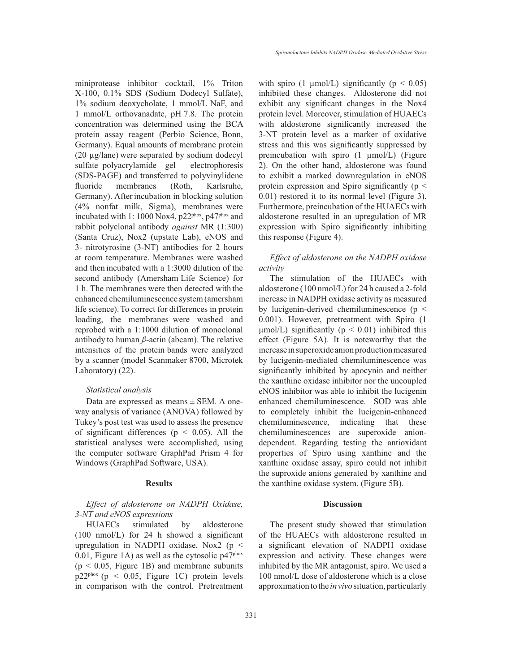miniprotease inhibitor cocktail, 1% Triton X-100, 0.1% SDS (Sodium Dodecyl Sulfate),  $1\%$  sodium deoxycholate, 1 mmol/L NaF, and 1 mmol/L orthovanadate, pH 7.8. The protein concentration was determined using the BCA protein assay reagent (Perbio Science, Bonn, Germany). Equal amounts of membrane protein  $(20 \mu g / \text{lane})$  were separated by sodium dodecyl sulfate–polyacrylamide gel electrophoresis (SDS-PAGE) and transferred to polyvinylidene fluoride membranes (Roth, Karlsruhe, Germany). Afterincubation in blocking solution (4% nonfat milk, Sigma), membranes were incubated with 1: 1000 Nox4, p22<sup>phox</sup>, p47<sup>phox</sup> and rabbit polyclonal antibody *against* MR (1:300) (Santa Cruz), Nox2 (upstate Lab), eNOS and 3- nitrotyrosine (3-NT) antibodies for 2 hours at room temperature. Membranes were washed and then incubated with a 1:3000 dilution of the second antibody (Amersham Life Science) for 1 h. The membranes were then detected with the enhanced chemiluminescence system (amersham life science). To correct for differences in protein loading, the membranes were washed and reprobed with a 1:1000 dilution of monoclonal antibody to human *ß*-actin (abcam). The relative intensities of the protein bands were analyzed by a scanner (model Scanmaker 8700, Microtek Laboratory) (22).

## *Statistical analysis*

Data are expressed as means  $\pm$  SEM. A oneway analysis of variance (ANOVA) followed by Tukey's post test was used to assess the presence of significant differences ( $p \leq 0.05$ ). All the statistical analyses were accomplished, using the computer software GraphPad Prism 4 for Windows (GraphPad Software, USA).

#### **Results**

# *Effect of aldosterone on NADPH Oxidase, 3-NT and eNOS expressions*

HUAECs stimulated by aldosterone  $(100 \text{ nmol/L})$  for 24 h showed a significant upregulation in NADPH oxidase, Nox2 (p < 0.01, Figure 1A) as well as the cytosolic  $p47<sup>phox</sup>$  $(p < 0.05$ , Figure 1B) and membrane subunits  $p22^{pbox} (p \le 0.05,$  Figure 1C) protein levels in comparison with the control. Pretreatment with spiro (1  $\mu$ mol/L) significantly (p < 0.05) inhibited these changes. Aldosterone did not exhibit any significant changes in the Nox4 protein level. Moreover, stimulation of HUAECs with aldosterone significantly increased the 3-NT protein level as a marker of oxidative stress and this was significantly suppressed by preincubation with spiro  $(1 \mu \text{mol/L})$  (Figure 2). On the other hand, aldosterone was found to exhibit a marked downregulation in eNOS protein expression and Spiro significantly ( $p \leq$ 0.01) restored it to its normal level (Figure 3). Furthermore, preincubation of the HUAECs with aldosterone resulted in an upregulation of MR expression with Spiro significantly inhibiting this response (Figure 4).

*Effect of aldosterone on the NADPH oxidase activity*

The stimulation of the HUAECs with aldosterone (100 nmol/L) for 24 h caused a 2-fold increase in NADPH oxidase activity as measured by lucigenin-derived chemiluminescence (p < 0.001). However, pretreatment with Spiro (1  $\mu$ mol/L) significantly ( $p < 0.01$ ) inhibited this effect (Figure 5A). It is noteworthy that the increase in superoxide anion production measured by lucigenin-mediated chemiluminescence was significantly inhibited by apocynin and neither the xanthine oxidase inhibitor nor the uncoupled eNOS inhibitor was able to inhibit the lucigenin enhanced chemiluminescence. SOD was able to completely inhibit the lucigenin-enhanced chemiluminescence, indicating that these chemiluminescences are superoxide aniondependent. Regarding testing the antioxidant properties of Spiro using xanthine and the xanthine oxidase assay, spiro could not inhibit the suproxide anions generated by xanthine and the xanthine oxidase system. (Figure 5B).

### **Discussion**

The present study showed that stimulation of the HUAECs with aldosterone resulted in a significant elevation of NADPH oxidase expression and activity. These changes were inhibited by the MR antagonist, spiro. We used a 100 nmol/L dose of aldosterone which is a close approximation to the *in vivo* situation, particularly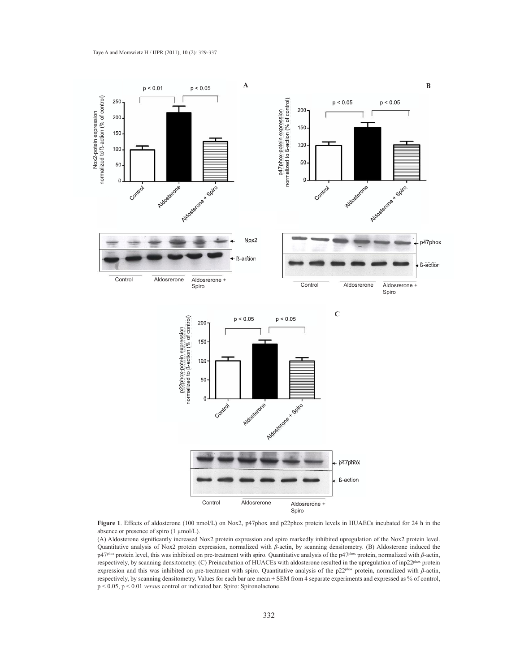

Figure 1. Effects of aldosterone (100 nmol/L) on Nox2, p47phox and p22phox protein levels in HUAECs incubated for 24 h in the absence or presence of spiro (1  $\mu$ mol/L).

(A) Aldosterone significantly increased Nox2 protein expression and spiro markedly inhibited upregulation of the Nox2 protein level. Quantitative analysis of Nox2 protein expression, normalized with  $\beta$ -actin, by scanning densitometry. (B) Aldosterone induced the p47<sup>phox</sup> protein level, this was inhibited on pre-treatment with spiro. Quantitative analysis of the p47<sup>phox</sup> protein, normalized with *ß*-actin, respectively, by scanning densitometry. (C) Preincubation of HUACEs with aldosterone resulted in the upregulation of inp22phox protein expression and this was inhibited on pre-treatment with spiro. Quantitative analysis of the p22<sup>phox</sup> protein, normalized with *β*-actin, respectively, by scanning densitometry. Values for each bar are mean ± SEM from 4 separate experiments and expressed as % of control, p < 0.05, p < 0.01 *versus* control or indicated bar. Spiro: Spironolactone.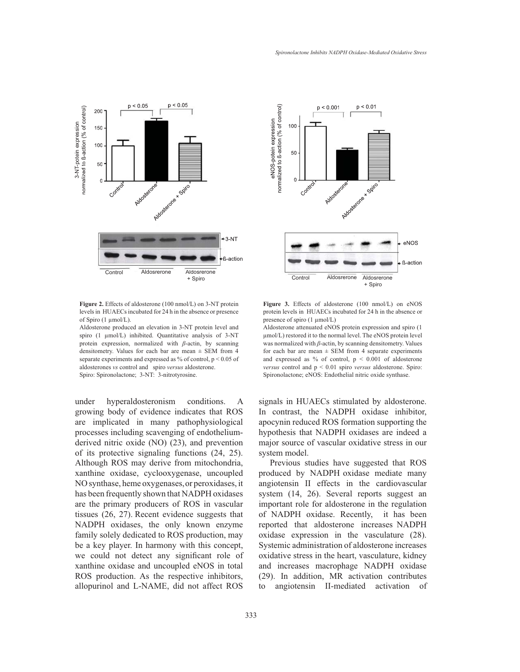



Figure 2. Effects of aldosterone (100 nmol/L) on 3-NT protein levels in HUAECs incubated for 24 h in the absence or presence of Spiro  $(1 \mu \text{mol/L})$ .

Aldosterone produced an elevation in 3-NT protein level and spiro  $(1 \mu \text{mol/L})$  inhibited. Quantitative analysis of 3-NT protein expression, normalized with  $\beta$ -actin, by scanning densitometry. Values for each bar are mean ± SEM from 4 separate experiments and expressed as % of control, p < 0.05 of aldosterones *vs* control and spiro *versus* aldosterone. Spiro: Spironolactone; 3-NT: 3-nitrotyrosine.

under hyperaldosteronism conditions. A growing body of evidence indicates that ROS are implicated in many pathophysiological processes including scavenging of endotheliumderived nitric oxide (NO) (23), and prevention of its protective signaling functions (24, 25). Although ROS may derive from mitochondria, xanthine oxidase, cyclooxygenase, uncoupled NO synthase, heme oxygenases, or peroxidases, it has been frequently shown that NADPH oxidases are the primary producers of ROS in vascular tissues (26, 27). Recent evidence suggests that NADPH oxidases, the only known enzyme family solely dedicated to ROS production, may be a key player. In harmony with this concept, we could not detect any significant role of xanthine oxidase and uncoupled eNOS in total ROS production. As the respective inhibitors, allopurinol and L-NAME, did not affect ROS



Figure 3. Effects of aldosterone (100 nmol/L) on eNOS protein levels in HUAECs incubated for 24 h in the absence or presence of spiro  $(1 \mu \text{mol/L})$ 

Aldosterone attenuated eNOS protein expression and spiro (1 µmol/L) restored it to the normal level. The eNOS protein level was normalized with *ß*-actin, by scanning densitometry. Values for each bar are mean  $\pm$  SEM from 4 separate experiments and expressed as % of control,  $p < 0.001$  of aldosterone *versus* control and p < 0.01 spiro *versus* aldosterone. Spiro: Spironolactone; eNOS: Endothelial nitric oxide synthase.

signals in HUAECs stimulated by aldosterone. In contrast, the NADPH oxidase inhibitor, apocynin reduced ROS formation supporting the hypothesis that NADPH oxidases are indeed a major source of vascular oxidative stress in our system model.

Previous studies have suggested that ROS produced by NADPH oxidase mediate many angiotensin II effects in the cardiovascular system (14, 26). Several reports suggest an important role for aldosterone in the regulation of NADPH oxidase. Recently, it has been reported that aldosterone increases NADPH oxidase expression in the vasculature (28). Systemic administration of aldosterone increases oxidative stress in the heart, vasculature, kidney and increases macrophage NADPH oxidase (29). In addition, MR activation contributes to angiotensin II-mediated activation of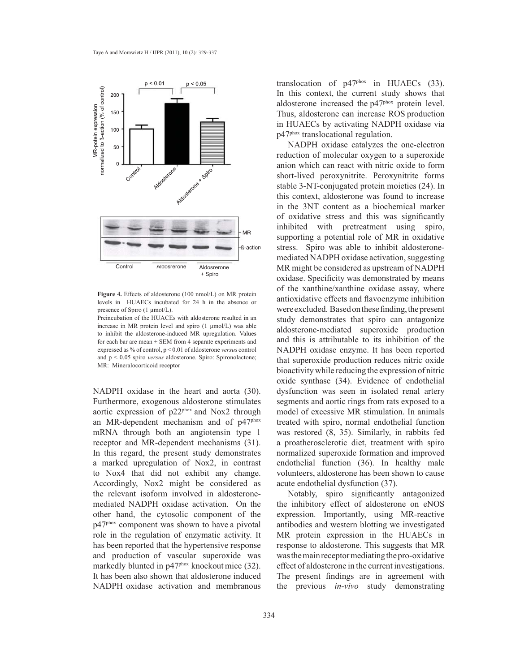

Figure 4. Effects of aldosterone (100 nmol/L) on MR protein levels in HUAECs incubated for 24 h in the absence or presence of Spiro  $(1 \text{ µmol/L}).$ 

Preincubation of the HUACEs with aldosterone resulted in an increase in MR protein level and spiro  $(1 \text{ mmol/L})$  was able to inhibit the aldosterone-induced MR upregulation. Values for each bar are mean  $\pm$  SEM from 4 separate experiments and expressed as % of control, p < 0.01 of aldosterone *versus* control and p < 0.05 spiro *versus* aldosterone. Spiro: Spironolactone; MR: Mineralocorticoid receptor

NADPH oxidase in the heart and aorta (30). Furthermore, exogenous aldosterone stimulates aortic expression of p22phox and Nox2 through an MR-dependent mechanism and of p47phox mRNA through both an angiotensin type 1 receptor and MR-dependent mechanisms (31). In this regard, the present study demonstrates a marked upregulation of Nox2, in contrast to Nox4 that did not exhibit any change. Accordingly, Nox2 might be considered as the relevant isoform involved in aldosteronemediated NADPH oxidase activation. On the other hand, the cytosolic component of the p47phox component was shown to have a pivotal role in the regulation of enzymatic activity. It has been reported that the hypertensive response and production of vascular superoxide was markedly blunted in p47<sup>phox</sup> knockout mice (32). It has been also shown that aldosterone induced NADPH oxidase activation and membranous translocation of p47phox in HUAECs (33). In this context, the current study shows that aldosterone increased the p47phox protein level. Thus, aldosterone can increase ROS production in HUAECs by activating NADPH oxidase via p47phox translocational regulation.

NADPH oxidase catalyzes the one-electron reduction of molecular oxygen to a superoxide anion which can react with nitric oxide to form short-lived peroxynitrite. Peroxynitrite forms stable 3-NT-conjugated protein moieties (24). In this context, aldosterone was found to increase in the 3NT content as a biochemical marker of oxidative stress and this was significantly inhibited with pretreatment using spiro, supporting a potential role of MR in oxidative stress. Spiro was able to inhibit aldosteronemediated NADPH oxidase activation, suggesting MR might be considered as upstream of NADPH oxidase. Specificity was demonstrated by means of the xanthine/xanthine oxidase assay, where antioxidative effects and flavoenzyme inhibition were excluded. Based on these finding, the present study demonstrates that spiro can antagonize aldosterone-mediated superoxide production and this is attributable to its inhibition of the NADPH oxidase enzyme. It has been reported that superoxide production reduces nitric oxide bioactivity while reducing the expression of nitric oxide synthase (34). Evidence of endothelial dysfunction was seen in isolated renal artery segments and aortic rings from rats exposed to a model of excessive MR stimulation. In animals treated with spiro, normal endothelial function was restored (8, 35). Similarly, in rabbits fed a proatherosclerotic diet, treatment with spiro normalized superoxide formation and improved endothelial function (36). In healthy male volunteers, aldosterone has been shown to cause acute endothelial dysfunction (37).

Notably, spiro significantly antagonized the inhibitory effect of aldosterone on eNOS expression. Importantly, using MR-reactive antibodies and western blotting we investigated MR protein expression in the HUAECs in response to aldosterone. This suggests that MR was the main receptor mediating the pro-oxidative effect of aldosterone in the current investigations. The present findings are in agreement with the previous *in-vivo* study demonstrating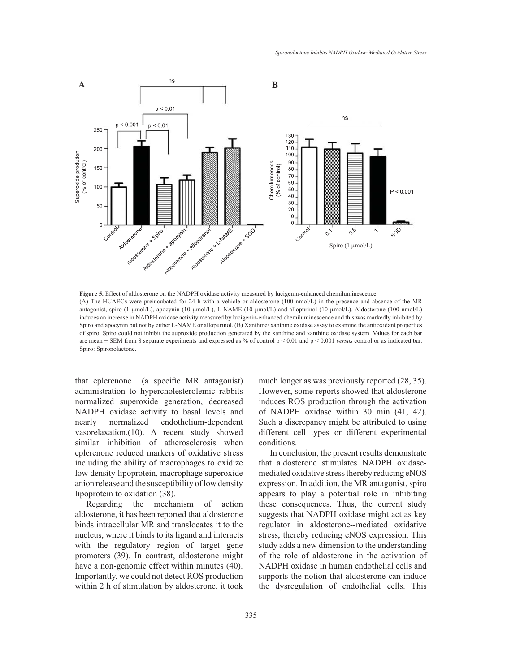

**Figure 5.** Effect of aldosterone on the NADPH oxidase activity measured by lucigenin-enhanced chemiluminescence. (A) The HUAECs were preincubated for 24 h with a vehicle or aldosterone (100 nmol/L) in the presence and absence of the MR antagonist, spiro (1  $\mu$ mol/L), apocynin (10  $\mu$ mol/L), L-NAME (10  $\mu$ mol/L) and allopurinol (10  $\mu$ mol/L). Aldosterone (100 nmol/L) induces an increase in NADPH oxidase activity measured by lucigenin-enhanced chemiluminescence and this was markedly inhibited by Spiro and apocynin but not by either L-NAME or allopurinol. (B) Xanthine/xanthine oxidase assay to examine the antioxidant properties of spiro. Spiro could not inhibit the suproxide production generated by the xanthine and xanthine oxidase system. Values for each bar are mean ± SEM from 8 separate experiments and expressed as % of control p < 0.01 and p < 0.001 *versus* control or as indicated bar. Spiro: Spironolactone.

that eplerenone (a specific MR antagonist) administration to hypercholesterolemic rabbits normalized superoxide generation, decreased NADPH oxidase activity to basal levels and nearly normalized endothelium-dependent vasorelaxation.(10). A recent study showed similar inhibition of atherosclerosis when eplerenone reduced markers of oxidative stress including the ability of macrophages to oxidize low density lipoprotein, macrophage superoxide anion release and the susceptibility of low density lipoprotein to oxidation (38).

Regarding the mechanism of action aldosterone, it has been reported that aldosterone binds intracellular MR and translocates it to the nucleus, where it binds to its ligand and interacts with the regulatory region of target gene promoters (39). In contrast, aldosterone might have a non-genomic effect within minutes (40). Importantly, we could not detect ROS production within 2 h of stimulation by aldosterone, it took much longer as was previously reported (28, 35). However, some reports showed that aldosterone induces ROS production through the activation of NADPH oxidase within 30 min (41, 42). Such a discrepancy might be attributed to using different cell types or different experimental conditions.

In conclusion, the present results demonstrate that aldosterone stimulates NADPH oxidasemediated oxidative stress thereby reducing eNOS expression. In addition, the MR antagonist, spiro appears to play a potential role in inhibiting these consequences. Thus, the current study suggests that NADPH oxidase might act as key regulator in aldosterone--mediated oxidative stress, thereby reducing eNOS expression. This study adds a new dimension to the understanding of the role of aldosterone in the activation of NADPH oxidase in human endothelial cells and supports the notion that aldosterone can induce the dysregulation of endothelial cells. This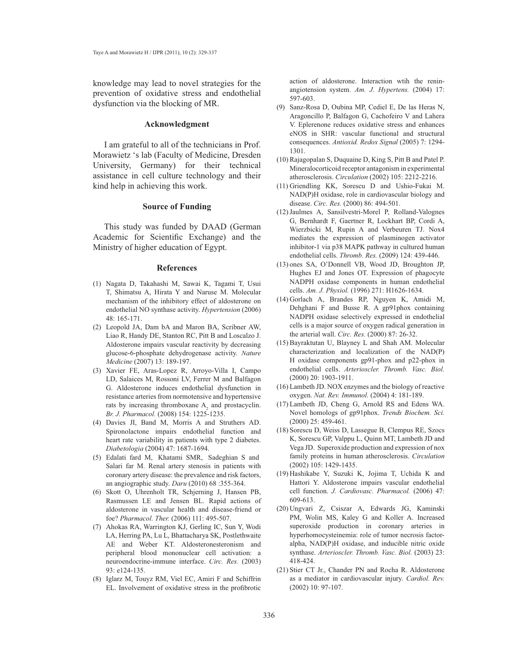knowledge may lead to novel strategies for the prevention of oxidative stress and endothelial dysfunction via the blocking of MR.

## **Acknowledgment**

I am grateful to all of the technicians in Prof. Morawietz 's lab (Faculty of Medicine, Dresden University, Germany) for their technical assistance in cell culture technology and their kind help in achieving this work.

## **Source of Funding**

This study was funded by DAAD (German Academic for Scientific Exchange) and the Ministry of higher education of Egypt.

#### **References**

- Nagata D, Takahashi M, Sawai K, Tagami T, Usui (1) T, Shimatsu A, Hirata Y and Naruse M. Molecular mechanism of the inhibitory effect of aldosterone on endothelial NO synthase activity. *Hypertension* (2006) 48: 165-171.
- (2) Leopold JA, Dam bA and Maron BA, Scribner AW, Liao R, Handy DE, Stanton RC, Pitt B and Loscalzo J. Aldosterone impairs vascular reactivity by decreasing glucose-6-phosphate dehydrogenase activity. *Nature Medicine* (2007) 13: 189-197.
- (3) Xavier FE, Aras-Lopez R, Arroyo-Villa I, Campo LD, Salaices M, Rossoni LV, Ferrer M and Balfagon G. Aldosterone induces endothelial dysfunction in resistance arteries from normotensive and hypertensive rats by increasing thromboxane  $A_2$  and prostacyclin. *Br. J. Pharmacol.* (2008) 154: 1225-1235.
- Davies JI, Band M, Morris A and Struthers AD. (4) Spironolactone impairs endothelial function and heart rate variability in patients with type 2 diabetes. *Diabetologia* (2004) 47: 1687-1694.
- Edalati fard M, Khatami SMR, Sadeghian S and (5) Salari far M. Renal artery stenosis in patients with coronary artery disease: the prevalence and risk factors, an angiographic study. *Daru* (2010) 68 :355-364.
- (6) Skott O, Uhrenholt TR, Schjerning J, Hansen PB, Rasmussen LE and Jensen BL. Rapid actions of aldosterone in vascular health and disease-friend or foe? *Pharmacol. Ther.* (2006) 111: 495-507.
- (7) Ahokas RA, Warrington KJ, Gerling IC, Sun Y, Wodi LA, Herring PA, Lu L, Bhattacharya SK, Postlethwaite AE and Weber KT. Aldosteronesteronism and peripheral blood mononuclear cell activation: a neuroendocrine-immune interface. *Circ. Res.* (2003) 93: e124-135.
- (8) Iglarz M, Touyz RM, Viel EC, Amiri F and Schiffrin EL. Involvement of oxidative stress in the profibrotic

action of aldosterone. Interaction wtih the reninangiotension system. *Am. J. Hypertens.* (2004) 17: 597-603.

- (9) Sanz-Rosa D, Oubina MP, Cediel E, De las Heras N, Aragoncillo P, Balfagon G, Cachofeiro V and Lahera V. Eplerenone reduces oxidative stress and enhances eNOS in SHR: vascular functional and structural consequences. *Antioxid. Redox Signal* (2005) 7: 1294- 1301.
- (10) Rajagopalan S, Duquaine D, King S, Pitt B and Patel P. Mineralocorticoid receptor antagonism in experimental atherosclerosis. *Circulation* (2002) 105: 2212-2216.
- (11) Griendling KK, Sorescu D and Ushio-Fukai M. NAD(P)H oxidase, role in cardiovascular biology and disease. *Circ. Res.* (2000) 86: 494-501.
- (12) Jaulmes A, Sansilvestri-Morel P, Rolland-Valognes G, Bernhardt F, Gaertner R, Lockhart BP, Cordi A, Wierzbicki M, Rupin A and Verbeuren TJ. Nox4 mediates the expression of plasminogen activator inhibitor-1 via p38 MAPK pathway in cultured human endothelial cells. *Thromb. Res.* (2009) 124: 439-446.
- (13) ones SA, O'Donnell VB, Wood JD, Broughton JP, Hughes EJ and Jones OT. Expression of phagocyte NADPH oxidase components in human endothelial cells. *Am. J. Physiol.* (1996) 271: H1626-1634.
- (14) Gorlach A, Brandes RP, Nguyen K, Amidi M, Dehghani F and Busse R. A gp91phox containing NADPH oxidase selectively expressed in endothelial cells is a major source of oxygen radical generation in the arterial wall. *Circ. Res.* (2000) 87: 26-32.
- (15) Bayraktutan U, Blayney L and Shah AM. Molecular characterization and localization of the NAD(P) H oxidase components gp91-phox and p22-phox in endothelial cells. Arterioscler. Thromb. Vasc. Biol. (2000) 20: 1903-1911.
- $(16)$  Lambeth JD. NOX enzymes and the biology of reactive oxygen. *Nat. Rev. Immunol.* (2004) 4: 181-189.
- (17) Lambeth JD, Cheng G, Arnold RS and Edens WA. Novel homologs of gp91phox. *Trends Biochem. Sci.*  (2000) 25: 459-461.
- (18) Sorescu D, Weiss D, Lassegue B, Clempus RE, Szocs K, Sorescu GP, Valppu L, Quinn MT, Lambeth JD and Vega JD. Superoxide production and expression of nox family proteins in human atherosclerosis. *Circulation* (2002) 105: 1429-1435.
- (19) Hashikabe Y, Suzuki K, Jojima T, Uchida K and Hattori Y. Aldosterone impairs vascular endothelial cell function. *J. Cardiovasc. Pharmacol.* (2006) 47: 609-613.
- Ungvari Z, Csiszar A, Edwards JG, Kaminski (20) PM, Wolin MS, Kaley G and Koller A. Increased superoxide production in coronary arteries in hyperhomocysteinemia: role of tumor necrosis factoralpha, NAD(P)H oxidase, and inducible nitric oxide synthase. Arterioscler. Thromb. Vasc. Biol. (2003) 23: 418-424.
- (21) Stier CT Jr., Chander PN and Rocha R. Aldosterone as a mediator in cardiovascular injury. *Cardiol. Rev.*  (2002) 10: 97-107.